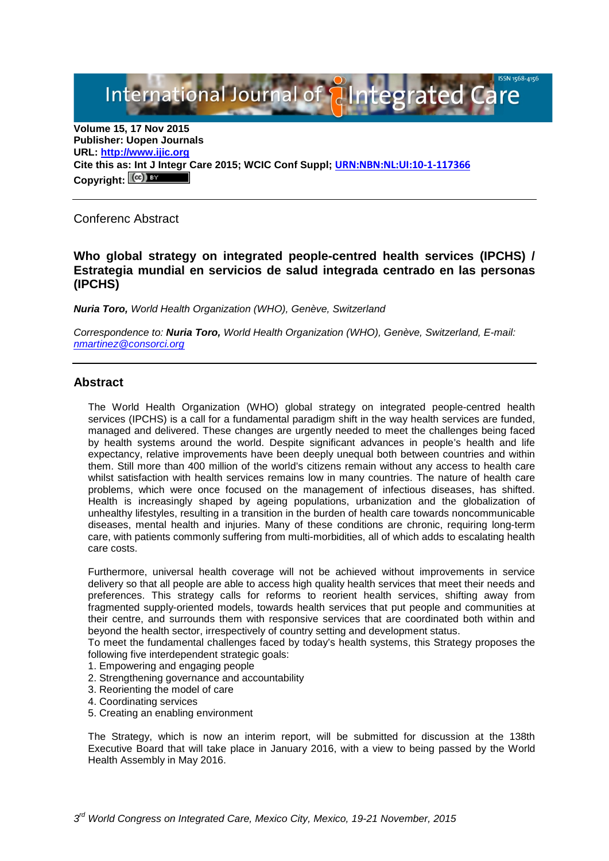International Journal of **Alntegrated Care** 

**Volume 15, 17 Nov 2015 Publisher: Uopen Journals URL: [http://www.ijic.org](http://www.ijic.org/) Cite this as: Int J Integr Care 2015; WCIC Conf Suppl; [URN:NBN:NL:UI:10-1-117366](http://persistent-identifier.nl/?identifier=URN:NBN:NL:UI:10-1-117366)** Copyright:  $(cc)$ 

Conferenc Abstract

# **Who global strategy on integrated people-centred health services (IPCHS) / Estrategia mundial en servicios de salud integrada centrado en las personas (IPCHS)**

*Nuria Toro, World Health Organization (WHO), Genève, Switzerland*

*Correspondence to: Nuria Toro, World Health Organization (WHO), Genève, Switzerland, E-mail: [nmartinez@consorci.org](mailto:nmartinez@consorci.org)*

## **Abstract**

The World Health Organization (WHO) global strategy on integrated people-centred health services (IPCHS) is a call for a fundamental paradigm shift in the way health services are funded, managed and delivered. These changes are urgently needed to meet the challenges being faced by health systems around the world. Despite significant advances in people's health and life expectancy, relative improvements have been deeply unequal both between countries and within them. Still more than 400 million of the world's citizens remain without any access to health care whilst satisfaction with health services remains low in many countries. The nature of health care problems, which were once focused on the management of infectious diseases, has shifted. Health is increasingly shaped by ageing populations, urbanization and the globalization of unhealthy lifestyles, resulting in a transition in the burden of health care towards noncommunicable diseases, mental health and injuries. Many of these conditions are chronic, requiring long-term care, with patients commonly suffering from multi-morbidities, all of which adds to escalating health care costs.

Furthermore, universal health coverage will not be achieved without improvements in service delivery so that all people are able to access high quality health services that meet their needs and preferences. This strategy calls for reforms to reorient health services, shifting away from fragmented supply-oriented models, towards health services that put people and communities at their centre, and surrounds them with responsive services that are coordinated both within and beyond the health sector, irrespectively of country setting and development status.

To meet the fundamental challenges faced by today's health systems, this Strategy proposes the following five interdependent strategic goals:

- 1. Empowering and engaging people
- 2. Strengthening governance and accountability
- 3. Reorienting the model of care
- 4. Coordinating services
- 5. Creating an enabling environment

The Strategy, which is now an interim report, will be submitted for discussion at the 138th Executive Board that will take place in January 2016, with a view to being passed by the World Health Assembly in May 2016.